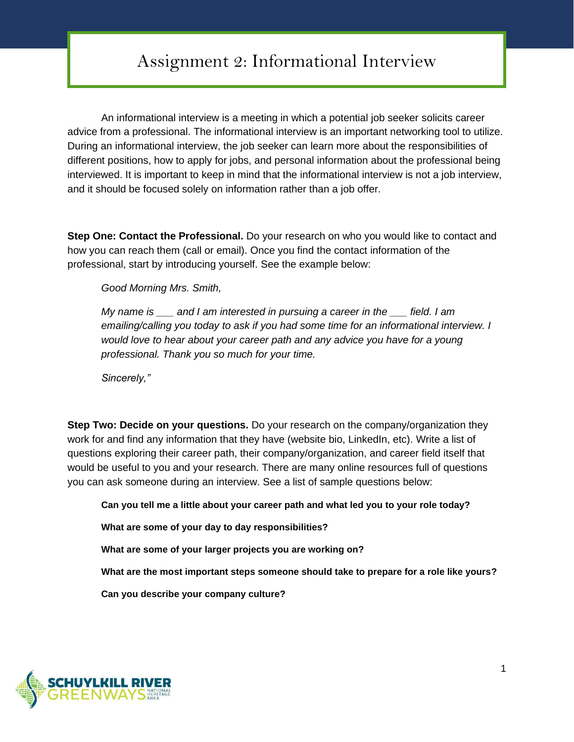## Assignment 2: Informational Interview

An informational interview is a meeting in which a potential job seeker solicits career advice from a professional. The informational interview is an important networking tool to utilize. During an informational interview, the job seeker can learn more about the responsibilities of different positions, how to apply for jobs, and personal information about the professional being interviewed. It is important to keep in mind that the informational interview is not a job interview, and it should be focused solely on information rather than a job offer.

**Step One: Contact the Professional.** Do your research on who you would like to contact and how you can reach them (call or email). Once you find the contact information of the professional, start by introducing yourself. See the example below:

*Good Morning Mrs. Smith,* 

*My name is \_\_\_ and I am interested in pursuing a career in the \_\_\_ field. I am emailing/calling you today to ask if you had some time for an informational interview. I would love to hear about your career path and any advice you have for a young professional. Thank you so much for your time.*

*Sincerely,"*

**Step Two: Decide on your questions.** Do your research on the company/organization they work for and find any information that they have (website bio, LinkedIn, etc). Write a list of questions exploring their career path, their company/organization, and career field itself that would be useful to you and your research. There are many online resources full of questions you can ask someone during an interview. See a list of sample questions below:

**Can you tell me a little about your career path and what led you to your role today?**

**What are some of your day to day responsibilities?**

**What are some of your larger projects you are working on?**

**What are the most important steps someone should take to prepare for a role like yours?**

**Can you describe your company culture?**